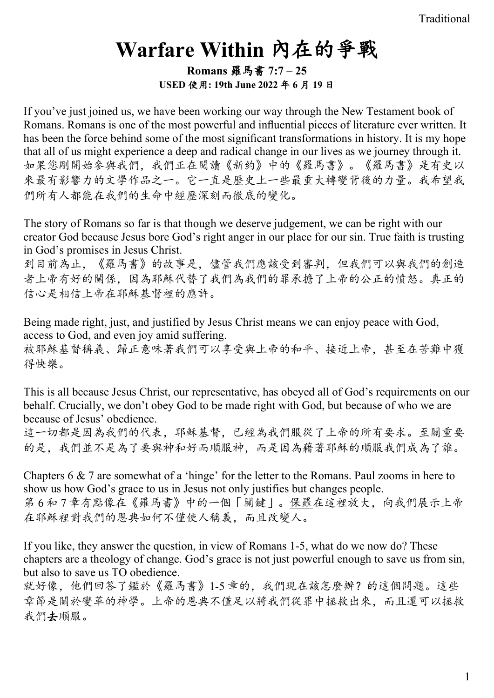# **Warfare Within** 內在的爭戰

**Romans** 羅馬書 **7:7 – 25 USED** 使用**: 19th June 2022** 年 **6** 月 **19** 日

If you've just joined us, we have been working our way through the New Testament book of Romans. Romans is one of the most powerful and influential pieces of literature ever written. It has been the force behind some of the most significant transformations in history. It is my hope that all of us might experience a deep and radical change in our lives as we journey through it. 如果您剛開始參與我們,我們正在閱讀《新約》中的《羅馬書》。《羅馬書》是有史以 來最有影響力的文學作品之一。它一直是歷史上一些最重大轉變背後的力量。我希望我 們所有人都能在我們的生命中經歷深刻而徹底的變化。

The story of Romans so far is that though we deserve judgement, we can be right with our creator God because Jesus bore God's right anger in our place for our sin. True faith is trusting in God's promises in Jesus Christ.

到目前為止,《羅馬書》的故事是,儘管我們應該受到審判,但我們可以與我們的創造 者上帝有好的關係,因為耶穌代替了我們為我們的罪承擔了上帝的公正的憤怒。真正的 信心是相信上帝在耶穌基督裡的應許。

Being made right, just, and justified by Jesus Christ means we can enjoy peace with God, access to God, and even joy amid suffering. 被耶穌基督稱義、歸正意味著我們可以享受與上帝的和平、接近上帝,甚至在苦難中獲 得快樂。

This is all because Jesus Christ, our representative, has obeyed all of God's requirements on our behalf. Crucially, we don't obey God to be made right with God, but because of who we are because of Jesus' obedience.

這一切都是因為我們的代表,耶穌基督,已經為我們服從了上帝的所有要求。至關重要 的是,我們並不是為了要與神和好而順服神,而是因為藉著耶穌的順服我們成為了誰。

Chapters 6 & 7 are somewhat of a 'hinge' for the letter to the Romans. Paul zooms in here to show us how God's grace to us in Jesus not only justifies but changes people. 第6和7章有點像在《羅馬書》中的一個「關鍵」。保羅在這裡放大,向我們展示上帝 在耶穌裡對我們的恩典如何不僅使人稱義,而且改變人。

If you like, they answer the question, in view of Romans 1-5, what do we now do? These chapters are a theology of change. God's grace is not just powerful enough to save us from sin, but also to save us TO obedience.

就好像,他們回答了鑑於《羅馬書》1-5 章的,我們現在該怎麼辦?的這個問題。這些 章節是關於變革的神學。上帝的恩典不僅足以將我們從罪中拯救出來,而且還可以拯救 我們去順服。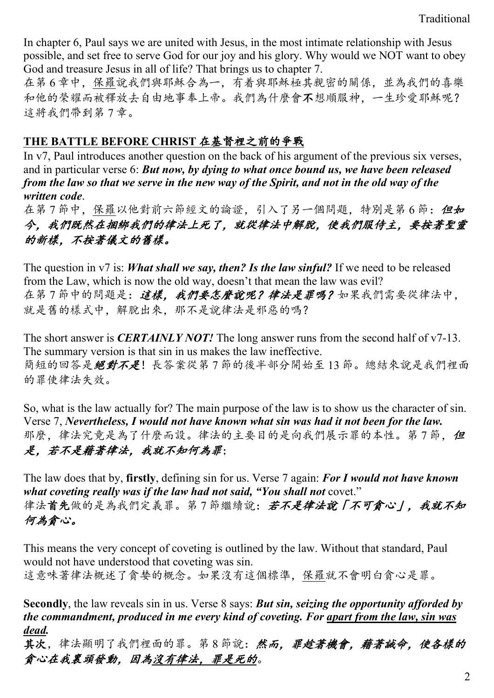In chapter 6, Paul says we are united with Jesus, in the most intimate relationship with Jesus possible, and set free to serve God for our joy and his glory. Why would we NOT want to obey God and treasure Jesus in all of life? That brings us to chapter 7.

在第 6 章中,保羅說我們與耶穌合為一,有着與耶穌極其親密的關係,並為我們的喜樂 和他的榮耀而被釋放去自由地事奉上帝。我們為什麼會不想順服神,一生珍愛耶穌呢? 這將我們帶到第 7 章。

### **THE BATTLE BEFORE CHRIST** 在基督裡之前的爭戰

In v7, Paul introduces another question on the back of his argument of the previous six verses, and in particular verse 6: *But now, by dying to what once bound us, we have been released from the law so that we serve in the new way of the Spirit, and not in the old way of the written code*.

在第7節中,保羅以他對前六節經文的論證,引入了另一個問題,特別是第6節: 但如 今,我們既然在捆綁我們的律法上死了,就從律法中解脫,使我們服侍主,要按著聖靈 的新樣,不按著儀文的舊樣。

The question in v7 is: *What shall we say, then? Is the law sinful?* If we need to be released from the Law, which is now the old way, doesn't that mean the law was evil? 在第7節中的問題是:這樣,我們要怎麼說呢?律法是罪嗎?如果我們需要從律法中, 就是舊的樣式中,解脫出來,那不是說律法是邪惡的嗎?

The short answer is *CERTAINLY NOT!* The long answer runs from the second half of v7-13. The summary version is that sin in us makes the law ineffective. 簡短的回答是絕對不是!長答案從第7節的後半部分開始至13節。總結來說是我們裡面 的罪使律法失效。

So, what is the law actually for? The main purpose of the law is to show us the character of sin. Verse 7, *Nevertheless, I would not have known what sin was had it not been for the law.* 那麼,律法究竟是為了什麼而設。律法的主要目的是向我們展示罪的本性。第7節,但 是,若不是藉著律法,我就不知何為罪;

The law does that by, **firstly**, defining sin for us. Verse 7 again: *For I would not have known what coveting really was if the law had not said, "You shall not* covet." 律法首先做的是為我們定義罪。第7節繼續說:若不是律法說「不可貪心」,我就不知 何為貪心。

This means the very concept of coveting is outlined by the law. Without that standard, Paul would not have understood that coveting was sin.

這意味著律法概述了貪婪的概念。如果沒有這個標準,保羅就不會明白貪心是罪。

**Secondly**, the law reveals sin in us. Verse 8 says: *But sin, seizing the opportunity afforded by the commandment, produced in me every kind of coveting. For apart from the law, sin was dead.*

其次,律法顯明了我們裡面的罪。第8節說:然而,罪趁著機會,藉著誠命,使各樣的 貪心在我裏頭發動,因為沒有律法,罪是死的。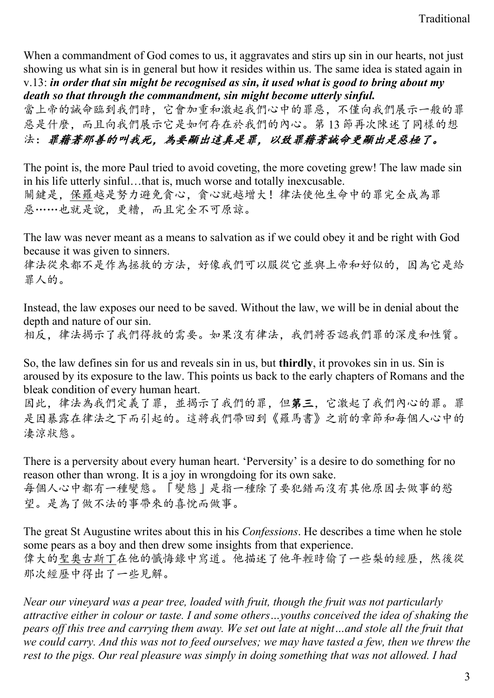When a commandment of God comes to us, it aggravates and stirs up sin in our hearts, not just showing us what sin is in general but how it resides within us. The same idea is stated again in v.13: *in order that sin might be recognised as sin, it used what is good to bring about my death so that through the commandment, sin might become utterly sinful.*

當上帝的誡命臨到我們時,它會加重和激起我們心中的罪惡,不僅向我們展示一般的罪 惡是什麼,而且向我們展示它是如何存在於我們的內心。第 13 節再次陳述了同樣的想 法:罪藉著那善的叫我死,為要顯出這真是罪,以致罪藉著誡命更顯出是惡極了。

The point is, the more Paul tried to avoid coveting, the more coveting grew! The law made sin in his life utterly sinful…that is, much worse and totally inexcusable. 關鍵是,保羅越是努力避免貪心,貪心就越增大!律法使他生命中的罪完全成為罪 惡……也就是說,更糟,而且完全不可原諒。

The law was never meant as a means to salvation as if we could obey it and be right with God because it was given to sinners.

律法從來都不是作為拯救的方法,好像我們可以服從它並與上帝和好似的,因為它是給 罪人的。

Instead, the law exposes our need to be saved. Without the law, we will be in denial about the depth and nature of our sin.

相反,律法揭示了我們得救的需要。如果沒有律法,我們將否認我們罪的深度和性質。

So, the law defines sin for us and reveals sin in us, but **thirdly**, it provokes sin in us. Sin is aroused by its exposure to the law. This points us back to the early chapters of Romans and the bleak condition of every human heart.

因此,律法為我們定義了罪,並揭示了我們的罪,但第三,它激起了我們內心的罪。罪 是因暴露在律法之下而引起的。這將我們帶回到《羅馬書》之前的章節和每個人心中的 淒涼狀態。

There is a perversity about every human heart. 'Perversity' is a desire to do something for no reason other than wrong. It is a joy in wrongdoing for its own sake. 每個人心中都有一種變態。「變態」是指一種除了要犯錯而沒有其他原因去做事的慾 望。是為了做不法的事帶來的喜悅而做事。

The great St Augustine writes about this in his *Confessions*. He describes a time when he stole some pears as a boy and then drew some insights from that experience. 偉大的聖奧古斯丁在他的懺悔錄中寫道。他描述了他年輕時偷了一些梨的經歷,然後從 那次經歷中得出了一些見解。

*Near our vineyard was a pear tree, loaded with fruit, though the fruit was not particularly attractive either in colour or taste. I and some others…youths conceived the idea of shaking the pears off this tree and carrying them away. We set out late at night…and stole all the fruit that we could carry. And this was not to feed ourselves; we may have tasted a few, then we threw the rest to the pigs. Our real pleasure was simply in doing something that was not allowed. I had*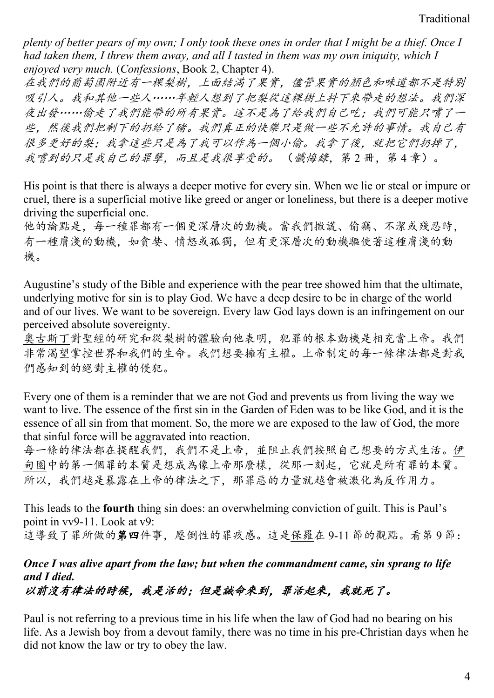*plenty of better pears of my own; I only took these ones in order that I might be a thief. Once I had taken them, I threw them away, and all I tasted in them was my own iniquity, which I enjoyed very much.* (*Confessions*, Book 2, Chapter 4).

在我們的葡萄園附近有一棵梨樹,上面結滿了果實,儘管果實的顏色和味道都不是特別 吸引人。我和其他一些人……年輕人想到了把梨從這棵樹上抖下來帶走的想法。我們深 夜出發……偷走了我們能帶的所有果實。這不是為了給我們自己吃;我們可能只嚐了一 些,然後我們把剩下的扔給了豬。我們真正的快樂只是做一些不允許的事情。我自己有 很多更好的梨;我拿這些只是為了我可以作為一個小偷。我拿了後,就把它們扔掉了, 我嚐到的只是我自己的罪孽,而且是我很享受的。(纖海錄,第2冊,第4章)。

His point is that there is always a deeper motive for every sin. When we lie or steal or impure or cruel, there is a superficial motive like greed or anger or loneliness, but there is a deeper motive driving the superficial one.

他的論點是,每一種罪都有一個更深層次的動機。當我們撒謊、偷竊、不潔或殘忍時, 有一種膚淺的動機,如貪婪、憤怒或孤獨,但有更深層次的動機驅使著這種膚淺的動 機。

Augustine's study of the Bible and experience with the pear tree showed him that the ultimate, underlying motive for sin is to play God. We have a deep desire to be in charge of the world and of our lives. We want to be sovereign. Every law God lays down is an infringement on our perceived absolute sovereignty.

奧古斯丁對聖經的研究和從梨樹的體驗向他表明,犯罪的根本動機是相充當上帝。我們 非常渴望掌控世界和我們的生命。我們想要擁有主權。上帝制定的每一條律法都是對我 們感知到的絕對主權的侵犯。

Every one of them is a reminder that we are not God and prevents us from living the way we want to live. The essence of the first sin in the Garden of Eden was to be like God, and it is the essence of all sin from that moment. So, the more we are exposed to the law of God, the more that sinful force will be aggravated into reaction.

每一條的律法都在提醒我們,我們不是上帝,並阻止我們按照自己想要的方式生活。伊 甸園中的第一個罪的本質是想成為像上帝那麼樣,從那一刻起,它就是所有罪的本質。 所以,我們越是暴露在上帝的律法之下,那罪惡的力量就越會被激化為反作用力。

This leads to the **fourth** thing sin does: an overwhelming conviction of guilt. This is Paul's point in vv9-11. Look at v9: 這導致了罪所做的第四件事,壓倒性的罪疚感。這是保羅在 9-11 節的觀點。看第 9 節:

## *Once I was alive apart from the law; but when the commandment came, sin sprang to life and I died.*

以前沒有律法的時候,我是活的;但是誡命來到,罪活起來,我就死了。

Paul is not referring to a previous time in his life when the law of God had no bearing on his life. As a Jewish boy from a devout family, there was no time in his pre-Christian days when he did not know the law or try to obey the law.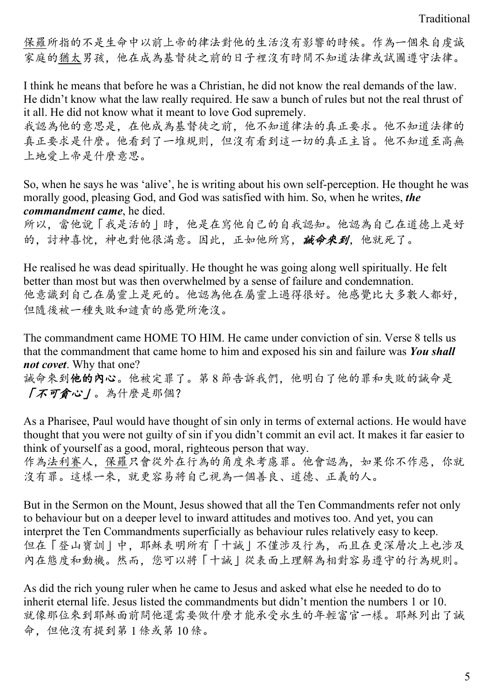保羅所指的不是生命中以前上帝的律法對他的生活沒有影響的時候。作為一個來自虔誠 家庭的猶太男孩,他在成為基督徒之前的日子裡沒有時間不知道法律或試圖遵守法律。

I think he means that before he was a Christian, he did not know the real demands of the law. He didn't know what the law really required. He saw a bunch of rules but not the real thrust of it all. He did not know what it meant to love God supremely.

我認為他的意思是,在他成為基督徒之前,他不知道律法的真正要求。他不知道法律的 真正要求是什麼。他看到了一堆規則,但沒有看到這一切的真正主旨。他不知道至高無 上地愛上帝是什麼意思。

So, when he says he was 'alive', he is writing about his own self-perception. He thought he was morally good, pleasing God, and God was satisfied with him. So, when he writes, *the commandment came*, he died.

所以,當他說「我是活的」時,他是在寫他自己的自我認知。他認為自己在道德上是好 的, 討神喜悅, 神也對他很滿意。因此, 正如他所寫, 誠命來到, 他就死了。

He realised he was dead spiritually. He thought he was going along well spiritually. He felt better than most but was then overwhelmed by a sense of failure and condemnation. 他意識到自己在屬靈上是死的。他認為他在屬靈上過得很好。他感覺比大多數人都好, 但隨後被一種失敗和譴責的感覺所淹沒。

The commandment came HOME TO HIM. He came under conviction of sin. Verse 8 tells us that the commandment that came home to him and exposed his sin and failure was *You shall not covet*. Why that one?

誠命來到他的內心。他被定罪了。第8節告訴我們,他明白了他的罪和失敗的誠命是 「不可貪心」。為什麼是那個?

As a Pharisee, Paul would have thought of sin only in terms of external actions. He would have thought that you were not guilty of sin if you didn't commit an evil act. It makes it far easier to think of yourself as a good, moral, righteous person that way.

作為法利賽人,保羅只會從外在行為的角度來考慮罪。他會認為,如果你不作惡,你就 沒有罪。這樣一來,就更容易將自己視為一個善良、道德、正義的人。

But in the Sermon on the Mount, Jesus showed that all the Ten Commandments refer not only to behaviour but on a deeper level to inward attitudes and motives too. And yet, you can interpret the Ten Commandments superficially as behaviour rules relatively easy to keep. 但在「登山寶訓」中,耶穌表明所有「十誡」不僅涉及行為,而且在更深層次上也涉及 內在態度和動機。然而,您可以將「十誡」從表面上理解為相對容易遵守的行為規則。

As did the rich young ruler when he came to Jesus and asked what else he needed to do to inherit eternal life. Jesus listed the commandments but didn't mention the numbers 1 or 10. 就像那位來到耶穌面前問他還需要做什麼才能承受永生的年輕富官一樣。耶穌列出了誡 命,但他沒有提到第 1 條或第 10 條。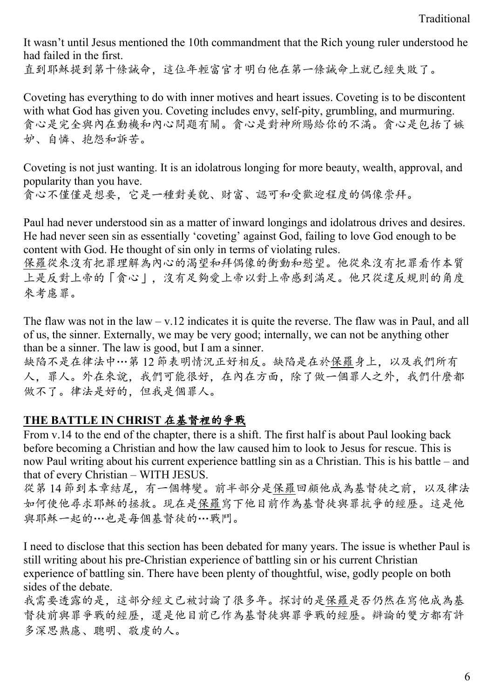It wasn't until Jesus mentioned the 10th commandment that the Rich young ruler understood he had failed in the first. 直到耶穌提到第十條誡命,這位年輕富官才明白他在第一條誠命上就已經失敗了。

Coveting has everything to do with inner motives and heart issues. Coveting is to be discontent with what God has given you. Coveting includes envy, self-pity, grumbling, and murmuring. 貪心是完全與內在動機和內心問題有關。貪心是對神所賜給你的不滿。貪心是包括了嫉 妒、自憐、抱怨和訴苦。

Coveting is not just wanting. It is an idolatrous longing for more beauty, wealth, approval, and popularity than you have.

貪心不僅僅是想要,它是一種對美貌、財富、認可和受歡迎程度的偶像崇拜。

Paul had never understood sin as a matter of inward longings and idolatrous drives and desires. He had never seen sin as essentially 'coveting' against God, failing to love God enough to be content with God. He thought of sin only in terms of violating rules.

保羅從來沒有把罪理解為內心的渴望和拜偶像的衝動和慾望。他從來沒有把罪看作本質 上是反對上帝的「貪心」,沒有足夠愛上帝以對上帝感到滿足。他只從違反規則的角度 來考慮罪。

The flaw was not in the  $law - v.12$  indicates it is quite the reverse. The flaw was in Paul, and all of us, the sinner. Externally, we may be very good; internally, we can not be anything other than be a sinner. The law is good, but I am a sinner.

缺陷不是在律法中…第 12 節表明情況正好相反。缺陷是在於保羅身上,以及我們所有 人,罪人。外在來說,我們可能很好,在內在方面,除了做一個罪人之外,我們什麼都 做不了。律法是好的,但我是個罪人。

#### **THE BATTLE IN CHRIST** 在基督裡的爭戰

From v.14 to the end of the chapter, there is a shift. The first half is about Paul looking back before becoming a Christian and how the law caused him to look to Jesus for rescue. This is now Paul writing about his current experience battling sin as a Christian. This is his battle – and that of every Christian – WITH JESUS.

從第 14 節到本章結尾,有一個轉變。前半部分是保羅回顧他成為基督徒之前,以及律法 如何使他尋求耶穌的拯救。現在是保羅寫下他目前作為基督徒與罪抗爭的經歷。這是他 與耶穌一起的…也是每個基督徒的…戰鬥。

I need to disclose that this section has been debated for many years. The issue is whether Paul is still writing about his pre-Christian experience of battling sin or his current Christian experience of battling sin. There have been plenty of thoughtful, wise, godly people on both sides of the debate.

我需要透露的是,這部分經文已被討論了很多年。探討的是保羅是否仍然在寫他成為基 督徒前與罪爭戰的經歷,還是他目前已作為基督徒與罪爭戰的經歷。辯論的雙方都有許 多深思熟慮、聰明、敬虔的人。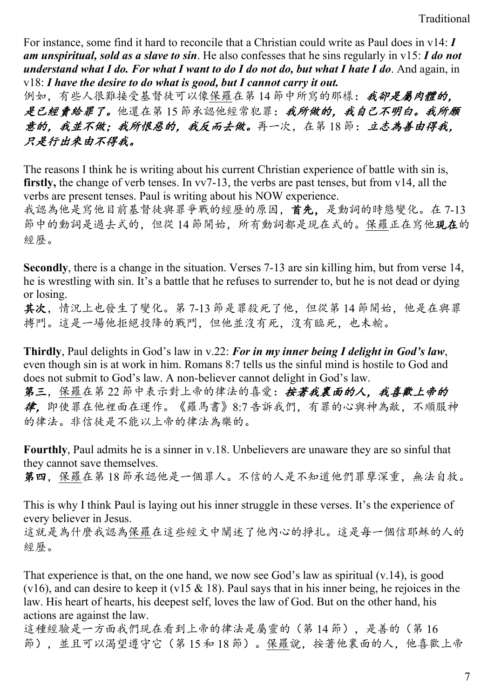For instance, some find it hard to reconcile that a Christian could write as Paul does in v14: *I am unspiritual, sold as a slave to sin*. He also confesses that he sins regularly in v15: *I do not understand what I do. For what I want to do I do not do, but what I hate I do*. And again, in v18: *I have the desire to do what is good, but I cannot carry it out.*

例如,有些人很難接受基督徒可以像保羅在第14節中所寫的那樣:我卻是屬肉體的。 是已經賣給罪了。他還在第15節承認他經常犯罪:我所做的,我自己不明白。我所願 意的,我並不做;我所恨惡的,我反而去做。再一次,在第18節;立志為善由得我, 只是行出來由不得我。

The reasons I think he is writing about his current Christian experience of battle with sin is, **firstly,** the change of verb tenses. In vv7-13, the verbs are past tenses, but from v14, all the verbs are present tenses. Paul is writing about his NOW experience.

我認為他是寫他目前基督徒與罪爭戰的經歷的原因,首先,是動詞的時態變化。在 7-13 節中的動詞是過去式的,但從 14 節開始,所有動詞都是現在式的。保羅正在寫他現在的 經歷。

**Secondly**, there is a change in the situation. Verses 7-13 are sin killing him, but from verse 14, he is wrestling with sin. It's a battle that he refuses to surrender to, but he is not dead or dying or losing.

其次,情況上也發生了變化。第 7-13 節是罪殺死了他,但從第 14 節開始,他是在與罪 搏鬥。這是一場他拒絕投降的戰鬥,但他並沒有死,沒有臨死,也未輸。

**Thirdly**, Paul delights in God's law in v.22: *For in my inner being I delight in God's law*, even though sin is at work in him. Romans 8:7 tells us the sinful mind is hostile to God and does not submit to God's law. A non-believer cannot delight in God's law.

第三,保羅在第22節中表示對上帝的律法的喜愛:按著我裏面的人,我喜歡上帝的 律,即使罪在他裡面在運作。《羅馬書》8:7 告訴我們,有罪的心與神為敵,不順服神 的律法。非信徒是不能以上帝的律法為樂的。

**Fourthly**, Paul admits he is a sinner in v.18. Unbelievers are unaware they are so sinful that they cannot save themselves.

第四,保羅在第18節承認他是一個罪人。不信的人是不知道他們罪孽深重,無法自救。

This is why I think Paul is laying out his inner struggle in these verses. It's the experience of every believer in Jesus.

這就是為什麼我認為保羅在這些經文中闡述了他內心的掙扎。這是每一個信耶穌的人的 經歷。

That experience is that, on the one hand, we now see God's law as spiritual (v.14), is good (v16), and can desire to keep it (v15  $\&$  18). Paul says that in his inner being, he rejoices in the law. His heart of hearts, his deepest self, loves the law of God. But on the other hand, his actions are against the law.

這種經驗是一方面我們現在看到上帝的律法是屬靈的(第 14 節),是善的(第 16 節),並且可以渴望遵守它(第 15 和 18 節)。保羅說,按著他裏面的人,他喜歡上帝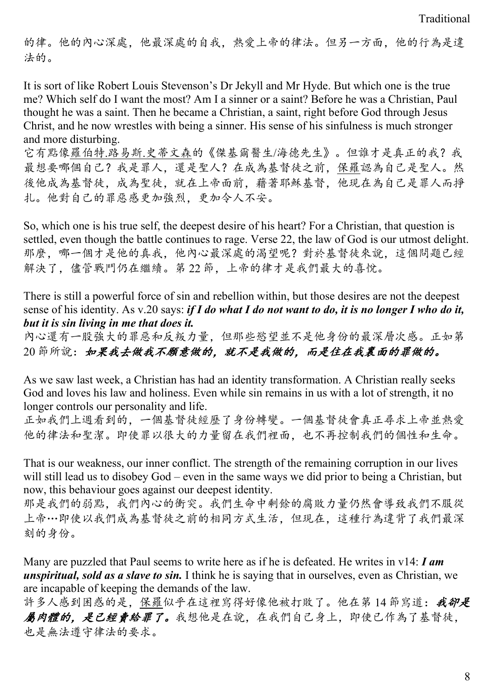的律。他的內心深處,他最深處的自我,熱愛上帝的律法。但另一方面,他的行為是違 法的。

It is sort of like Robert Louis Stevenson's Dr Jekyll and Mr Hyde. But which one is the true me? Which self do I want the most? Am I a sinner or a saint? Before he was a Christian, Paul thought he was a saint. Then he became a Christian, a saint, right before God through Jesus Christ, and he now wrestles with being a sinner. His sense of his sinfulness is much stronger and more disturbing.

它有點像羅伯特.路易斯.史蒂文森的《傑基爾醫生/海德先生》。但誰才是真正的我?我 最想要哪個自己?我是罪人,還是聖人?在成為基督徒之前,保羅認為自己是聖人。然 後他成為基督徒,成為聖徒,就在上帝面前,藉著耶穌基督,他現在為自己是罪人而掙 扎。他對自己的罪惡感更加強烈,更加令人不安。

So, which one is his true self, the deepest desire of his heart? For a Christian, that question is settled, even though the battle continues to rage. Verse 22, the law of God is our utmost delight. 那麼,哪一個才是他的真我,他內心最深處的渴望呢?對於基督徒來說,這個問題已經 解決了,儘管戰鬥仍在繼續。第 22節,上帝的律才是我們最大的喜悅。

There is still a powerful force of sin and rebellion within, but those desires are not the deepest sense of his identity. As v.20 says: *if I do what I do not want to do, it is no longer I who do it, but it is sin living in me that does it.*

內心還有一股強大的罪惡和反叛力量,但那些慾望並不是他身份的最深層次感。正如第 20 節所說:如果我去做我不願意做的,就不是我做的,而是住在我裏面的罪做的。

As we saw last week, a Christian has had an identity transformation. A Christian really seeks God and loves his law and holiness. Even while sin remains in us with a lot of strength, it no longer controls our personality and life.

正如我們上週看到的,一個基督徒經歷了身份轉變。一個基督徒會真正尋求上帝並熱愛 他的律法和聖潔。即使罪以很大的力量留在我們裡面,也不再控制我們的個性和生命。

That is our weakness, our inner conflict. The strength of the remaining corruption in our lives will still lead us to disobey God – even in the same ways we did prior to being a Christian, but now, this behaviour goes against our deepest identity.

那是我們的弱點,我們內心的衝突。我們生命中剩餘的腐敗力量仍然會導致我們不服從 上帝…即使以我們成為基督徒之前的相同方式生活,但現在,這種行為違背了我們最深 刻的身份。

Many are puzzled that Paul seems to write here as if he is defeated. He writes in v14: *I am unspiritual, sold as a slave to sin.* I think he is saying that in ourselves, even as Christian, we are incapable of keeping the demands of the law.

許多人感到困惑的是,保羅似乎在這裡寫得好像他被打敗了。他在第14節寫道:我卻是 屬肉體的,是已經賣給罪了。我想他是在說,在我們自己身上,即使已作為了基督徒, 也是無法遵守律法的要求。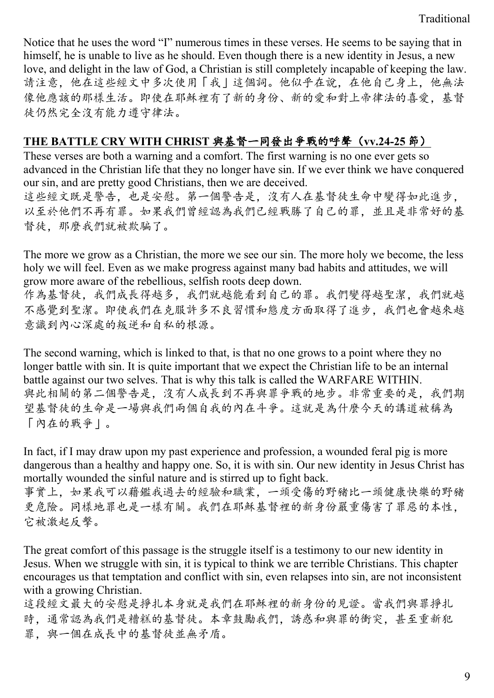Notice that he uses the word "I" numerous times in these verses. He seems to be saying that in himself, he is unable to live as he should. Even though there is a new identity in Jesus, a new love, and delight in the law of God, a Christian is still completely incapable of keeping the law. 請注意,他在這些經文中多次使用「我」這個詞。他似乎在說,在他自己身上,他無法 像他應該的那樣生活。即使在耶穌裡有了新的身份、新的愛和對上帝律法的喜愛,基督 徒仍然完全沒有能力遵守律法。

#### **THE BATTLE CRY WITH CHRIST** 與基督一同發出爭戰的呼聲(**vv.24-25** 節)

These verses are both a warning and a comfort. The first warning is no one ever gets so advanced in the Christian life that they no longer have sin. If we ever think we have conquered our sin, and are pretty good Christians, then we are deceived. 這些經文既是警告,也是安慰。第一個警告是,沒有人在基督徒生命中變得如此進步, 以至於他們不再有罪。如果我們曾經認為我們已經戰勝了自己的罪,並且是非常好的基 督徒,那麼我們就被欺騙了。

The more we grow as a Christian, the more we see our sin. The more holy we become, the less holy we will feel. Even as we make progress against many bad habits and attitudes, we will grow more aware of the rebellious, selfish roots deep down.

作為基督徒,我們成長得越多,我們就越能看到自己的罪。我們變得越聖潔,我們就越 不感覺到聖潔。即使我們在克服許多不良習慣和態度方面取得了進步,我們也會越來越 意識到內心深處的叛逆和自私的根源。

The second warning, which is linked to that, is that no one grows to a point where they no longer battle with sin. It is quite important that we expect the Christian life to be an internal battle against our two selves. That is why this talk is called the WARFARE WITHIN. 與此相關的第二個警告是,沒有人成長到不再與罪爭戰的地步。非常重要的是,我們期 望基督徒的生命是一場與我們兩個自我的內在斗爭。這就是為什麼今天的講道被稱為 「內在的戰爭」。

In fact, if I may draw upon my past experience and profession, a wounded feral pig is more dangerous than a healthy and happy one. So, it is with sin. Our new identity in Jesus Christ has mortally wounded the sinful nature and is stirred up to fight back.

事實上,如果我可以藉鑑我過去的經驗和職業,一頭受傷的野豬比一頭健康快樂的野豬 更危險。同樣地罪也是一樣有關。我們在耶穌基督裡的新身份嚴重傷害了罪惡的本性, 它被激起反擊。

The great comfort of this passage is the struggle itself is a testimony to our new identity in Jesus. When we struggle with sin, it is typical to think we are terrible Christians. This chapter encourages us that temptation and conflict with sin, even relapses into sin, are not inconsistent with a growing Christian.

這段經文最大的安慰是挣扎本身就是我們在耶穌裡的新身份的見證。當我們與罪掙扎 時,通常認為我們是糟糕的基督徒。本章鼓勵我們,誘惑和與罪的衝突,甚至重新犯 罪, 與一個在成長中的基督徒並無矛盾。